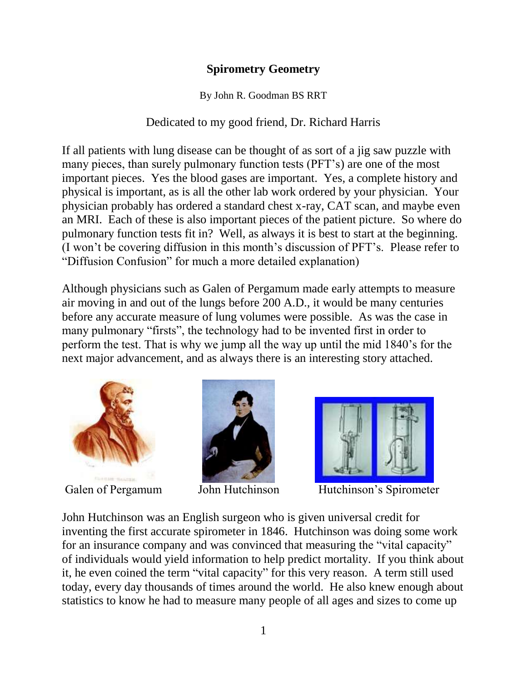## **Spirometry Geometry**

By John R. Goodman BS RRT

Dedicated to my good friend, Dr. Richard Harris

If all patients with lung disease can be thought of as sort of a jig saw puzzle with many pieces, than surely pulmonary function tests (PFT's) are one of the most important pieces. Yes the blood gases are important. Yes, a complete history and physical is important, as is all the other lab work ordered by your physician. Your physician probably has ordered a standard chest x-ray, CAT scan, and maybe even an MRI. Each of these is also important pieces of the patient picture. So where do pulmonary function tests fit in? Well, as always it is best to start at the beginning. (I won't be covering diffusion in this month's discussion of PFT's. Please refer to "Diffusion Confusion" for much a more detailed explanation)

Although physicians such as Galen of Pergamum made early attempts to measure air moving in and out of the lungs before 200 A.D., it would be many centuries before any accurate measure of lung volumes were possible. As was the case in many pulmonary "firsts", the technology had to be invented first in order to perform the test. That is why we jump all the way up until the mid 1840's for the next major advancement, and as always there is an interesting story attached.







Galen of Pergamum John Hutchinson Hutchinson's Spirometer

John Hutchinson was an English surgeon who is given universal credit for inventing the first accurate spirometer in 1846. Hutchinson was doing some work for an insurance company and was convinced that measuring the "vital capacity" of individuals would yield information to help predict mortality. If you think about it, he even coined the term "vital capacity" for this very reason. A term still used today, every day thousands of times around the world. He also knew enough about statistics to know he had to measure many people of all ages and sizes to come up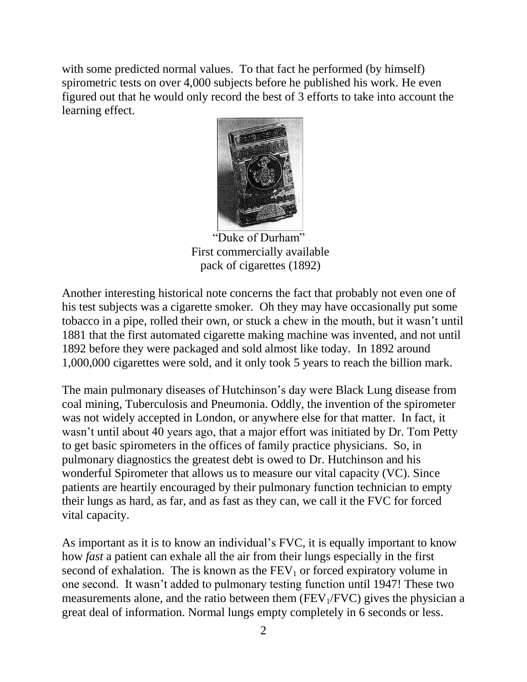with some predicted normal values. To that fact he performed (by himself) spirometric tests on over 4,000 subjects before he published his work. He even figured out that he would only record the best of 3 efforts to take into account the learning effect.



 "Duke of Durham" First commercially available pack of cigarettes (1892)

Another interesting historical note concerns the fact that probably not even one of his test subjects was a cigarette smoker. Oh they may have occasionally put some tobacco in a pipe, rolled their own, or stuck a chew in the mouth, but it wasn't until 1881 that the first automated cigarette making machine was invented, and not until 1892 before they were packaged and sold almost like today. In 1892 around 1,000,000 cigarettes were sold, and it only took 5 years to reach the billion mark.

The main pulmonary diseases of Hutchinson's day were Black Lung disease from coal mining, Tuberculosis and Pneumonia. Oddly, the invention of the spirometer was not widely accepted in London, or anywhere else for that matter. In fact, it wasn't until about 40 years ago, that a major effort was initiated by Dr. Tom Petty to get basic spirometers in the offices of family practice physicians. So, in pulmonary diagnostics the greatest debt is owed to Dr. Hutchinson and his wonderful Spirometer that allows us to measure our vital capacity (VC). Since patients are heartily encouraged by their pulmonary function technician to empty their lungs as hard, as far, and as fast as they can, we call it the FVC for forced vital capacity.

As important as it is to know an individual's FVC, it is equally important to know how *fast* a patient can exhale all the air from their lungs especially in the first second of exhalation. The is known as the  $FEV<sub>1</sub>$  or forced expiratory volume in one second. It wasn't added to pulmonary testing function until 1947! These two measurements alone, and the ratio between them  $(FEV<sub>1</sub>/FVC)$  gives the physician a great deal of information. Normal lungs empty completely in 6 seconds or less.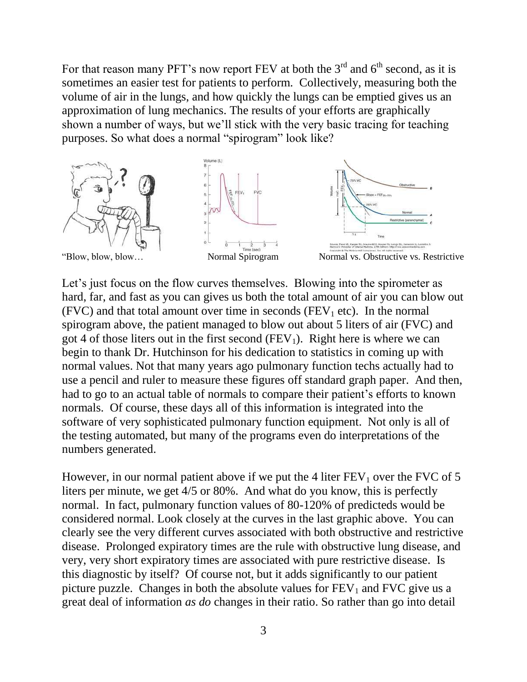For that reason many PFT's now report FEV at both the  $3<sup>rd</sup>$  and  $6<sup>th</sup>$  second, as it is sometimes an easier test for patients to perform. Collectively, measuring both the volume of air in the lungs, and how quickly the lungs can be emptied gives us an approximation of lung mechanics. The results of your efforts are graphically shown a number of ways, but we'll stick with the very basic tracing for teaching purposes. So what does a normal "spirogram" look like?



Let's just focus on the flow curves themselves. Blowing into the spirometer as hard, far, and fast as you can gives us both the total amount of air you can blow out (FVC) and that total amount over time in seconds (FEV<sub>1</sub> etc). In the normal spirogram above, the patient managed to blow out about 5 liters of air (FVC) and got 4 of those liters out in the first second  $(FEV_1)$ . Right here is where we can begin to thank Dr. Hutchinson for his dedication to statistics in coming up with normal values. Not that many years ago pulmonary function techs actually had to use a pencil and ruler to measure these figures off standard graph paper. And then, had to go to an actual table of normals to compare their patient's efforts to known normals. Of course, these days all of this information is integrated into the software of very sophisticated pulmonary function equipment. Not only is all of the testing automated, but many of the programs even do interpretations of the numbers generated.

However, in our normal patient above if we put the 4 liter  $FEV<sub>1</sub>$  over the FVC of 5 liters per minute, we get 4/5 or 80%. And what do you know, this is perfectly normal. In fact, pulmonary function values of 80-120% of predicteds would be considered normal. Look closely at the curves in the last graphic above. You can clearly see the very different curves associated with both obstructive and restrictive disease. Prolonged expiratory times are the rule with obstructive lung disease, and very, very short expiratory times are associated with pure restrictive disease. Is this diagnostic by itself? Of course not, but it adds significantly to our patient picture puzzle. Changes in both the absolute values for  $FEV<sub>1</sub>$  and  $FVC$  give us a great deal of information *as do* changes in their ratio. So rather than go into detail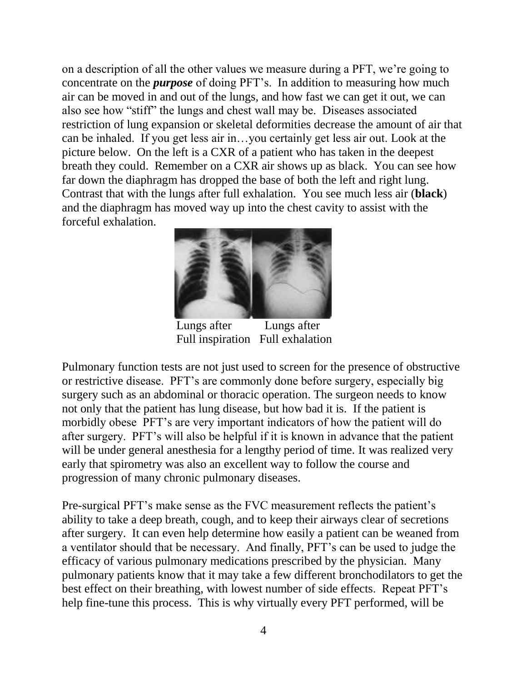on a description of all the other values we measure during a PFT, we're going to concentrate on the *purpose* of doing PFT's. In addition to measuring how much air can be moved in and out of the lungs, and how fast we can get it out, we can also see how "stiff" the lungs and chest wall may be. Diseases associated restriction of lung expansion or skeletal deformities decrease the amount of air that can be inhaled. If you get less air in…you certainly get less air out. Look at the picture below. On the left is a CXR of a patient who has taken in the deepest breath they could. Remember on a CXR air shows up as black. You can see how far down the diaphragm has dropped the base of both the left and right lung. Contrast that with the lungs after full exhalation. You see much less air (**black**) and the diaphragm has moved way up into the chest cavity to assist with the forceful exhalation.



 Lungs after Lungs after Full inspiration Full exhalation

Pulmonary function tests are not just used to screen for the presence of obstructive or restrictive disease. PFT's are commonly done before surgery, especially big surgery such as an abdominal or thoracic operation. The surgeon needs to know not only that the patient has lung disease, but how bad it is. If the patient is morbidly obese PFT's are very important indicators of how the patient will do after surgery. PFT's will also be helpful if it is known in advance that the patient will be under general anesthesia for a lengthy period of time. It was realized very early that spirometry was also an excellent way to follow the course and progression of many chronic pulmonary diseases.

Pre-surgical PFT's make sense as the FVC measurement reflects the patient's ability to take a deep breath, cough, and to keep their airways clear of secretions after surgery. It can even help determine how easily a patient can be weaned from a ventilator should that be necessary. And finally, PFT's can be used to judge the efficacy of various pulmonary medications prescribed by the physician. Many pulmonary patients know that it may take a few different bronchodilators to get the best effect on their breathing, with lowest number of side effects. Repeat PFT's help fine-tune this process. This is why virtually every PFT performed, will be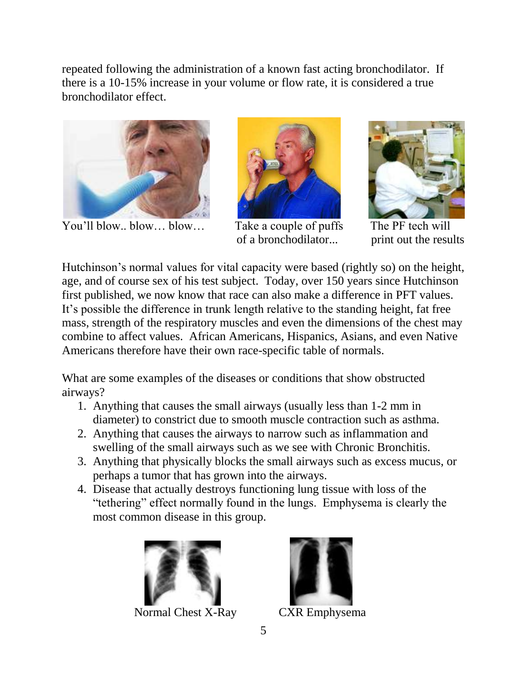repeated following the administration of a known fast acting bronchodilator. If there is a 10-15% increase in your volume or flow rate, it is considered a true bronchodilator effect.



You'll blow... blow... blow... Take a couple of puffs The PF tech will



of a bronchodilator... print out the results



Hutchinson's normal values for vital capacity were based (rightly so) on the height, age, and of course sex of his test subject. Today, over 150 years since Hutchinson first published, we now know that race can also make a difference in PFT values. It's possible the difference in trunk length relative to the standing height, fat free mass, strength of the respiratory muscles and even the dimensions of the chest may combine to affect values. African Americans, Hispanics, Asians, and even Native Americans therefore have their own race-specific table of normals.

What are some examples of the diseases or conditions that show obstructed airways?

- 1. Anything that causes the small airways (usually less than 1-2 mm in diameter) to constrict due to smooth muscle contraction such as asthma.
- 2. Anything that causes the airways to narrow such as inflammation and swelling of the small airways such as we see with Chronic Bronchitis.
- 3. Anything that physically blocks the small airways such as excess mucus, or perhaps a tumor that has grown into the airways.
- 4. Disease that actually destroys functioning lung tissue with loss of the "tethering" effect normally found in the lungs. Emphysema is clearly the most common disease in this group.



Normal Chest X-Ray CXR Emphysema

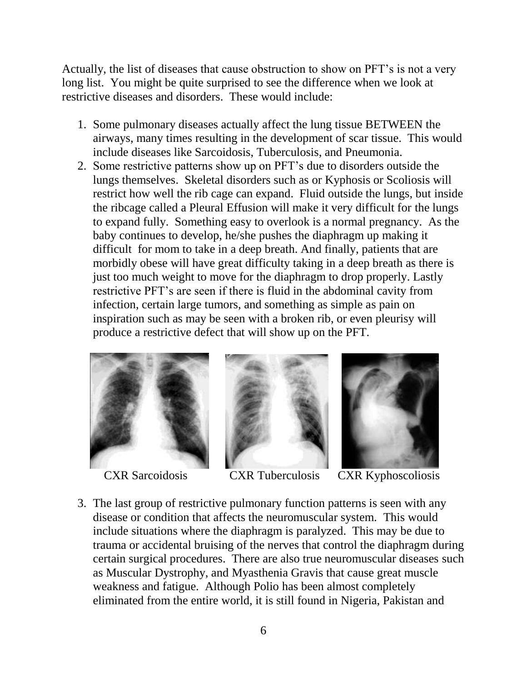Actually, the list of diseases that cause obstruction to show on PFT's is not a very long list. You might be quite surprised to see the difference when we look at restrictive diseases and disorders. These would include:

- 1. Some pulmonary diseases actually affect the lung tissue BETWEEN the airways, many times resulting in the development of scar tissue. This would include diseases like Sarcoidosis, Tuberculosis, and Pneumonia.
- 2. Some restrictive patterns show up on PFT's due to disorders outside the lungs themselves. Skeletal disorders such as or Kyphosis or Scoliosis will restrict how well the rib cage can expand. Fluid outside the lungs, but inside the ribcage called a Pleural Effusion will make it very difficult for the lungs to expand fully. Something easy to overlook is a normal pregnancy. As the baby continues to develop, he/she pushes the diaphragm up making it difficult for mom to take in a deep breath. And finally, patients that are morbidly obese will have great difficulty taking in a deep breath as there is just too much weight to move for the diaphragm to drop properly. Lastly restrictive PFT's are seen if there is fluid in the abdominal cavity from infection, certain large tumors, and something as simple as pain on inspiration such as may be seen with a broken rib, or even pleurisy will produce a restrictive defect that will show up on the PFT.







CXR Sarcoidosis CXR Tuberculosis CXR Kyphoscoliosis

3. The last group of restrictive pulmonary function patterns is seen with any disease or condition that affects the neuromuscular system. This would include situations where the diaphragm is paralyzed. This may be due to trauma or accidental bruising of the nerves that control the diaphragm during certain surgical procedures. There are also true neuromuscular diseases such as Muscular Dystrophy, and Myasthenia Gravis that cause great muscle weakness and fatigue. Although Polio has been almost completely eliminated from the entire world, it is still found in Nigeria, Pakistan and